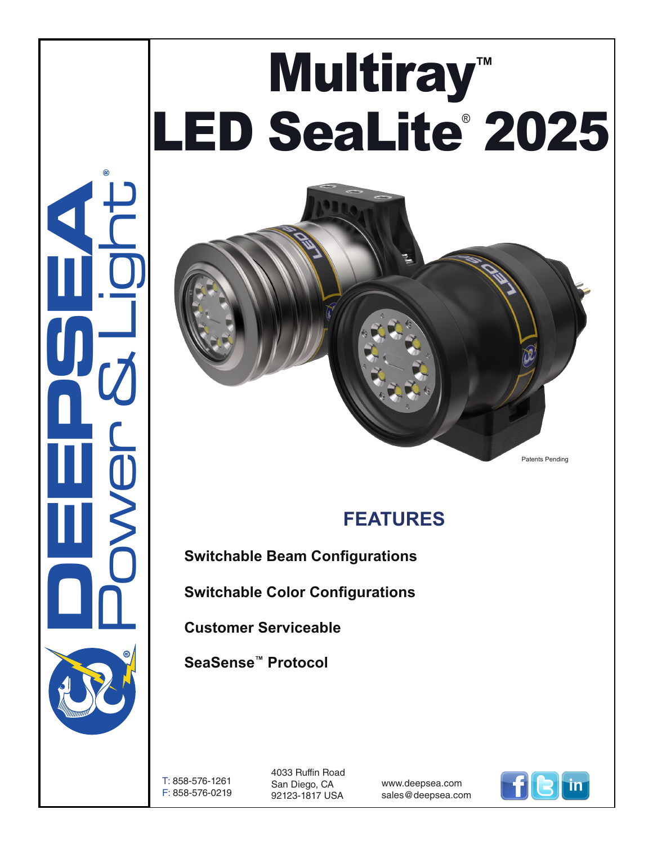# Multiray**™**  LED SeaLite® 2025

## **FEATURES**

**Switchable Beam Configurations**

**Switchable Color Configurations**

**Customer Serviceable**

**SeaSense™ Protocol**

T: 858-576-1261 F: 858-576-0219

4033 Ruffin Road San Diego, CA 92123-1817 USA

www.deepsea.com sales@deepsea.com



Patents Pending

**DEEPSEA** Power & Light

®

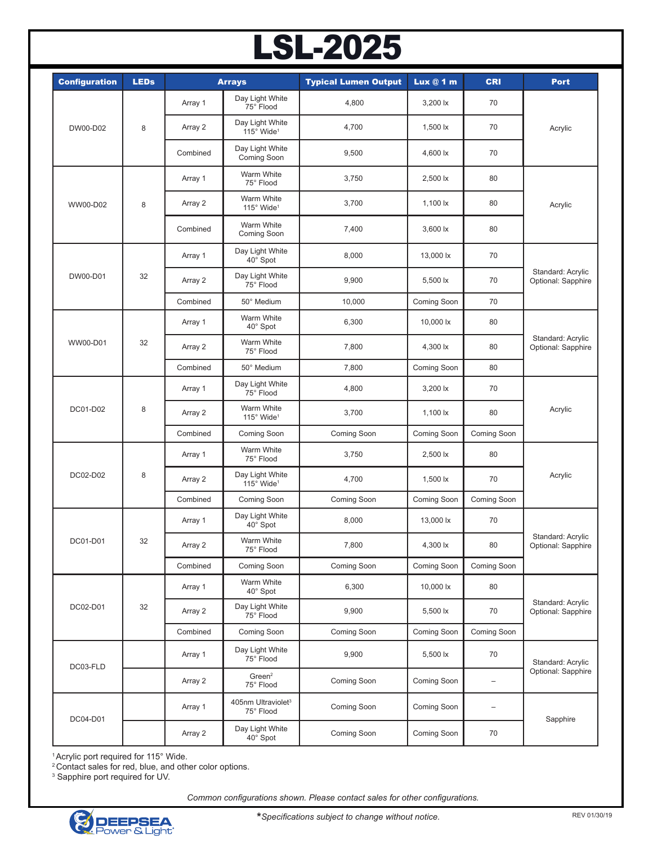## LSL-2025

| <b>Configuration</b> | <b>LEDs</b> |          | <b>Arrays</b>                               | <b>Typical Lumen Output</b> | Lux@1m          | <b>CRI</b>               | <b>Port</b>                             |
|----------------------|-------------|----------|---------------------------------------------|-----------------------------|-----------------|--------------------------|-----------------------------------------|
| DW00-D02             | 8           | Array 1  | Day Light White<br>75° Flood                | 4,800                       | 3,200 lx        | 70                       | Acrylic                                 |
|                      |             | Array 2  | Day Light White<br>115° Wide <sup>1</sup>   | 4,700                       | 1,500 lx        | 70                       |                                         |
|                      |             | Combined | Day Light White<br>Coming Soon              | 9,500                       | 4,600 lx        | 70                       |                                         |
| WW00-D02             | 8           | Array 1  | Warm White<br>75° Flood                     | 3,750                       | 2,500 lx        | 80                       | Acrylic                                 |
|                      |             | Array 2  | Warm White<br>115° Wide <sup>1</sup>        | 3,700                       | 1,100 $\sf{lx}$ | 80                       |                                         |
|                      |             | Combined | Warm White<br>Coming Soon                   | 7,400                       | 3,600 lx        | 80                       |                                         |
| DW00-D01             | 32          | Array 1  | Day Light White<br>40° Spot                 | 8,000                       | 13,000 lx       | 70                       | Standard: Acrylic<br>Optional: Sapphire |
|                      |             | Array 2  | Day Light White<br>75° Flood                | 9,900                       | 5,500 lx        | 70                       |                                         |
|                      |             | Combined | 50° Medium                                  | 10,000                      | Coming Soon     | 70                       |                                         |
| WW00-D01             | 32          | Array 1  | Warm White<br>40° Spot                      | 6,300                       | 10,000 lx       | 80                       | Standard: Acrylic<br>Optional: Sapphire |
|                      |             | Array 2  | Warm White<br>75° Flood                     | 7,800                       | 4,300 lx        | 80                       |                                         |
|                      |             | Combined | 50° Medium                                  | 7,800                       | Coming Soon     | 80                       |                                         |
| DC01-D02             | 8           | Array 1  | Day Light White<br>75° Flood                | 4,800                       | 3,200 lx        | 70                       | Acrylic                                 |
|                      |             | Array 2  | Warm White<br>115° Wide <sup>1</sup>        | 3,700                       | 1,100 $\sf lx$  | 80                       |                                         |
|                      |             | Combined | Coming Soon                                 | Coming Soon                 | Coming Soon     | Coming Soon              |                                         |
|                      | 8           | Array 1  | Warm White<br>75° Flood                     | 3,750                       | 2,500 lx        | 80                       | Acrylic                                 |
| DC02-D02             |             | Array 2  | Day Light White<br>115° Wide <sup>1</sup>   | 4,700                       | 1,500 lx        | 70                       |                                         |
|                      |             | Combined | Coming Soon                                 | Coming Soon                 | Coming Soon     | Coming Soon              |                                         |
| DC01-D01             | 32          | Array 1  | Day Light White<br>40° Spot                 | 8,000                       | 13,000 lx       | 70                       | Standard: Acrylic<br>Optional: Sapphire |
|                      |             | Array 2  | Warm White<br>75° Flood                     | 7,800                       | 4,300 lx        | $80\,$                   |                                         |
|                      |             | Combined | Coming Soon                                 | Coming Soon                 | Coming Soon     | Coming Soon              |                                         |
| DC02-D01             | 32          | Array 1  | Warm White<br>40° Spot                      | 6,300                       | 10,000 lx       | 80                       | Standard: Acrylic<br>Optional: Sapphire |
|                      |             | Array 2  | Day Light White<br>75° Flood                | 9,900                       | 5,500 lx        | 70                       |                                         |
|                      |             | Combined | Coming Soon                                 | Coming Soon                 | Coming Soon     | Coming Soon              |                                         |
| DC03-FLD             |             | Array 1  | Day Light White<br>75° Flood                | 9,900                       | 5,500 lx        | 70                       | Standard: Acrylic                       |
|                      |             | Array 2  | Green <sup>2</sup><br>75° Flood             | Coming Soon                 | Coming Soon     | -                        | Optional: Sapphire                      |
| DC04-D01             |             | Array 1  | 405nm Ultraviolet <sup>3</sup><br>75° Flood | Coming Soon                 | Coming Soon     | $\overline{\phantom{0}}$ |                                         |
|                      |             | Array 2  | Day Light White<br>40° Spot                 | Coming Soon                 | Coming Soon     | 70                       | Sapphire                                |

1 Acrylic port required for 115° Wide.

2 Contact sales for red, blue, and other color options.

3 Sapphire port required for UV.

*Common configurations shown. Please contact sales for other configurations.*



**\****Specifications subject to change without notice.*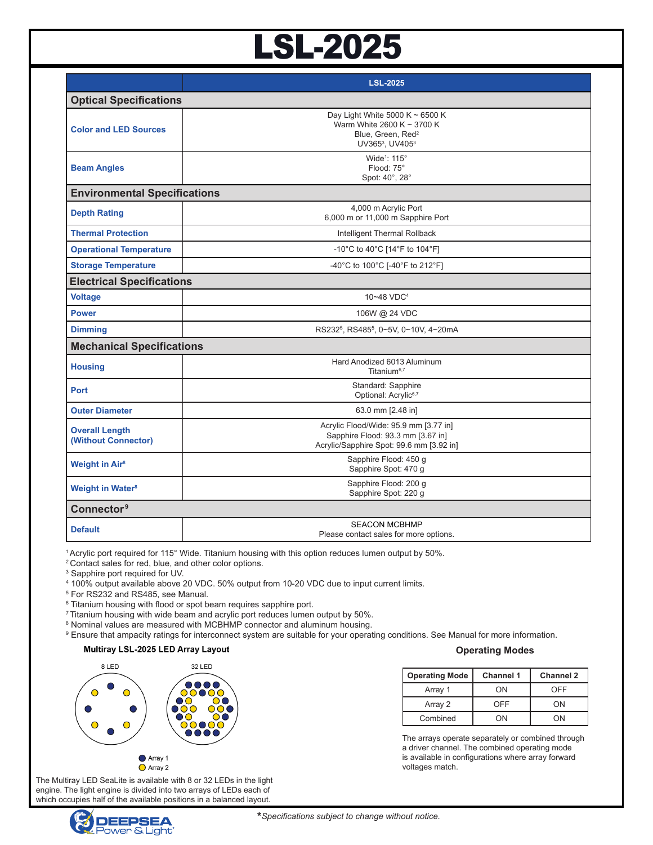# LSL-2025

|                                              | <b>LSL-2025</b>                                                                                                        |  |  |  |
|----------------------------------------------|------------------------------------------------------------------------------------------------------------------------|--|--|--|
| <b>Optical Specifications</b>                |                                                                                                                        |  |  |  |
| <b>Color and LED Sources</b>                 | Day Light White 5000 K $\sim$ 6500 K<br>Warm White 2600 K ~ 3700 K<br>Blue, Green, Red <sup>2</sup><br>UV3653, UV4053  |  |  |  |
| <b>Beam Angles</b>                           | Wide <sup>1</sup> : 115°<br>Flood: 75°<br>Spot: 40°, 28°                                                               |  |  |  |
| <b>Environmental Specifications</b>          |                                                                                                                        |  |  |  |
| <b>Depth Rating</b>                          | 4,000 m Acrylic Port<br>6,000 m or 11,000 m Sapphire Port                                                              |  |  |  |
| <b>Thermal Protection</b>                    | Intelligent Thermal Rollback                                                                                           |  |  |  |
| <b>Operational Temperature</b>               | -10°C to 40°C [14°F to 104°F]                                                                                          |  |  |  |
| <b>Storage Temperature</b>                   | -40°C to 100°C [-40°F to 212°F]                                                                                        |  |  |  |
| <b>Electrical Specifications</b>             |                                                                                                                        |  |  |  |
| <b>Voltage</b>                               | 10~48 VDC <sup>4</sup>                                                                                                 |  |  |  |
| <b>Power</b>                                 | 106W @ 24 VDC                                                                                                          |  |  |  |
| <b>Dimming</b>                               | RS232 <sup>5</sup> , RS485 <sup>5</sup> , 0~5V, 0~10V, 4~20mA                                                          |  |  |  |
| <b>Mechanical Specifications</b>             |                                                                                                                        |  |  |  |
| <b>Housing</b>                               | Hard Anodized 6013 Aluminum<br>Titanium <sup>6,7</sup>                                                                 |  |  |  |
| <b>Port</b>                                  | Standard: Sapphire<br>Optional: Acrylic6,7                                                                             |  |  |  |
| <b>Outer Diameter</b>                        | 63.0 mm [2.48 in]                                                                                                      |  |  |  |
| <b>Overall Length</b><br>(Without Connector) | Acrylic Flood/Wide: 95.9 mm [3.77 in]<br>Sapphire Flood: 93.3 mm [3.67 in]<br>Acrylic/Sapphire Spot: 99.6 mm [3.92 in] |  |  |  |
| <b>Weight in Air<sup>8</sup></b>             | Sapphire Flood: 450 g<br>Sapphire Spot: 470 g                                                                          |  |  |  |
| <b>Weight in Water<sup>8</sup></b>           | Sapphire Flood: 200 q<br>Sapphire Spot: 220 g                                                                          |  |  |  |
| Connector <sup>9</sup>                       |                                                                                                                        |  |  |  |
| <b>Default</b>                               | <b>SEACON MCBHMP</b><br>Please contact sales for more options.                                                         |  |  |  |

1 Acrylic port required for 115° Wide. Titanium housing with this option reduces lumen output by 50%.

2 Contact sales for red, blue, and other color options.

3 Sapphire port required for UV.

4 100% output available above 20 VDC. 50% output from 10-20 VDC due to input current limits.

5 For RS232 and RS485, see Manual.

 $^6$  Titanium housing with flood or spot beam requires sapphire port.

<sup>7</sup> Titanium housing with wide beam and acrylic port reduces lumen output by 50%.

<sup>8</sup> Nominal values are measured with MCBHMP connector and aluminum housing.

 $^\circ$  Ensure that ampacity ratings for interconnect system are suitable for your operating conditions. See Manual for more information.

#### Multiray LSL-2025 LED Array Layout



#### **Operating Modes**

| <b>Operating Mode</b> | <b>Channel 1</b> | <b>Channel 2</b> |
|-----------------------|------------------|------------------|
| Array 1               | ON               | OFF              |
| Array 2               | OFF              | OΝ               |
| Combined              | ΩN               | 'N               |

The arrays operate separately or combined through a driver channel. The combined operating mode is available in configurations where array forward voltages match.

The Multiray LED SeaLite is available with 8 or 32 LEDs in the light engine. The light engine is divided into two arrays of LEDs each of which occupies half of the available positions in a balanced layout.